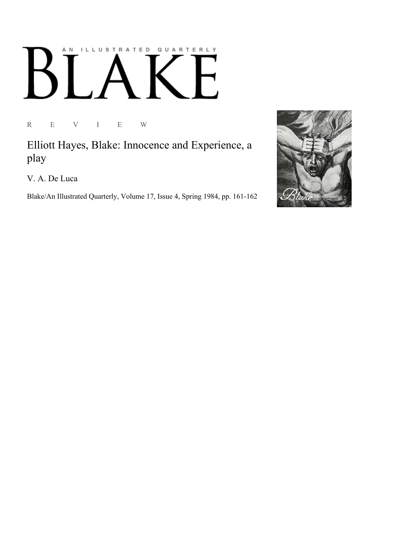## ILLUSTRATED QUARTERLY A N Ӄ

R E V I E W

Elliott Hayes, Blake: Innocence and Experience, a play

V. A. De Luca

Blake/An Illustrated Quarterly, Volume 17, Issue 4, Spring 1984, pp. 161-162

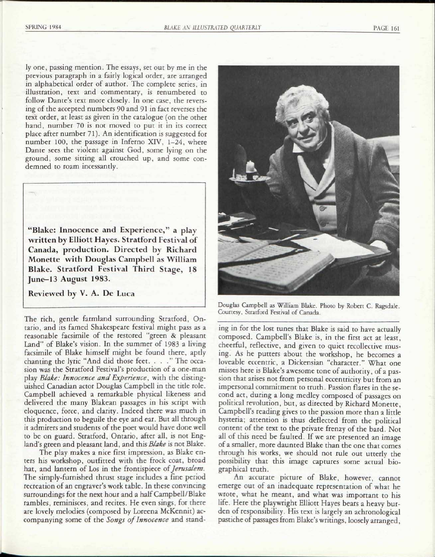ly one, passing mention. The essays, set out by me in the previous paragraph in a fairly logical order, are arranged in alphabetical order of author. The complete series, in illustration, text and commentary, is renumbered to follow Dante's text more closely. In one case, the reversing of the accepted numbers 90 and 91 in fact reverses the text order, at least as given in the catalogue (on the other hand, number 70 is not moved to put it in its correct place after number 71). An identification is suggested for number 100, the passage in Inferno XIV, 1-24, where Dante sees the violent against God, some lying on the ground, some sitting all crouched up, and some condemned to roam incessantly.

"Blake: Innocence and Experience, " a plav written by Elliott Hayes. Stratford Festival of Canada, production. Directed by Richard Monette with Douglas Campbell as William Blake. Stratford Festival Third Stage, 18 June-13 August 1983.

Reviewed by V. A. De Luca

The rich, gentle farmland surrounding Stratford, Ontario, and its famed Shakespeare festival might pass as a reasonable facsimile of the restored "green & pleasant Land" of Blake's vision. In the summer of 1983 a living facsimile of Blake himself might be found there, aptly chanting the lyric "And did those feet. ... " The occasion was the Stratford Festival's production of a one-man play *Blake: Innocence and Experience*, with the distinguished Canadian actor Douglas Campbell in the title role. Campbell achieved a remarkable physical likeness and delivered the many Blakean passages in his script with eloquence, force, and clarity. Indeed there was much in this production to beguile the eye and ear. But all through it admirers and students of the poet would have done well to be on guard. Stratford, Ontario, after all, is not England's green and pleasant land, and this *Blake* is not Blake.

The play makes a nice first impression, as Blake enters his workshop, outfitted with the frock coat, broad hat, and lantern of Los in the frontispiece of *Jerusalem.*  The simply-furnished thrust stage includes a fine period recreation of an engraver's work table. In these convincing surroundings for the next hour and a half Campbell/Blake rambles, reminisces, and recites. He even sings, for there are lovely melodies (composed by Loreena McKennit) accompanying some of the *Songs of Innocence* and stand-



Douglas Campbell as William Blake. Photo by Robert C. Ragsdale. Courtesy, Stratford Festival of Canada.

ing in for the lost tunes that Blake is said to have actually composed. Campbell's Blake is, in the first act at least, cheerful, reflective, and given to quiet recollective musing. As he putters about the workshop, he becomes a loveable eccentric, a Dickensian "character." What one misses here is Blake's awesome tone of authority, of a passion that arises not from personal eccentricity but from an impersonal commitment to truth. Passion flares in the second act, during a long medley composed of passages on political revolution, but, as directed by Richard Monette, Campbell's reading gives to the passion more than a little hysteria; attention is thus deflected from the political content of the text to the private frenzy of the bard. Not all of this need be faulted. If we are presented an image of a smaller, more daunted Blake than the one that comes through his works, we should not rule out utterly the possibility that this image captures some actual biographical truth.

An accurate picture of Blake, however, cannot emerge out of an inadequate representation of what he wrote, what he meant, and what was important to his life. Here the playwright Elliott Hayes bears a heavy burden of responsibility. His text is largely an achronological pastiche of passages from Blake's writings, loosely arranged,